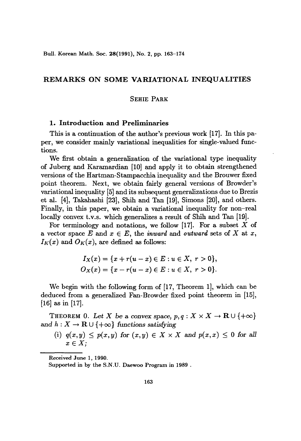Bull. Korean Math. Soc. 28(1991), No. 2, pp. 163-174

# **REMARKS ON SOME VARIATIONAL INEQUALITIES**

# SEHIE PARK

# **1. Introduction and Preliminaries**

This is a continuation of the author's previous work [17]. In this paper, we consider mainly variational inequalities for single-valued functions.

We first obtain a generalization of the variational type inequality of Juberg and Karamardian [10] and apply it to obtain strengthened versions of the Hartman-Stampacchia inequality and the Brouwer fixed point theorem. Next, we obtain fairly general versions of Browder's variational inequality [5] and its subsequent generalizations due to Brezis et al. [4], Takahashi [23], Shih and Tan [19], Simons [20], and others. Finally, in this paper, we obtain a variational inequality for non-real locally convex t.v.s. which generalizes a result of Shih and Tan [19].

For terminology and notations, we follow [17]. For a subset *X* of a vector space  $E$  and  $x \in E$ , the *inward* and *outward* sets of  $X$  at  $x$ ,  $I_K(x)$  and  $O_K(x)$ , are defined as follows:

$$
I_X(x) = \{x + r(u - x) \in E : u \in X, r > 0\},\,
$$
  

$$
O_X(x) = \{x - r(u - x) \in E : u \in X, r > 0\}.
$$

We begin with the following form of [17, Theorem 1], which can be deduced from a generalized Fan-Browder fixed point theorem in [15], [16] as in [17].

THEOREM 0. Let *X* be a convex space,  $p, q: X \times X \to \mathbf{R} \cup \{+\infty\}$ and  $h: X \to \mathbf{R} \cup \{+\infty\}$  functions *satisfying* 

(i)  $q(x,y) \leq p(x,y)$  for  $(x,y) \in X \times X$  and  $p(x,x) \leq 0$  for all  $x \in X$ ;

Received June 1, 1990.

Supported in by the S.N.V. Daewoo Program in 1989 .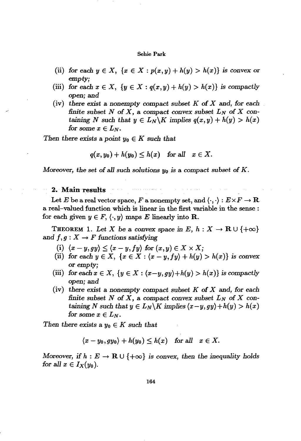- (ii) for each  $y \in X$ ,  $\{x \in X : p(x,y) + h(y) > h(x)\}$  is convex or *empty;*
- (iii) *for* each  $x \in X$ ,  $\{y \in X : q(x,y) + h(y) > h(x)\}$  *is compactly open;* and
- (iv) *there exist* a nonempty compact subset *K of* X and, *for* each *finite subset*  $N$  *of*  $X$ , a compact convex subset  $L_N$  of  $X$  con*taining N* such that  $y \in L_N \backslash K$  *implies*  $q(x, y) + h(y) > h(x)$ *for* some  $x \in L_N$ .

*Then there exists* a *point*  $y_0 \in K$  *such that* 

$$
q(x,y_0)+h(y_0)\leq h(x) \quad \text{for all} \quad x\in X.
$$

Moreover, the set of all such solutions  $y_0$  is a compact subset of K.

## **2.** Main results

Let *E* be a real vector space, *F* a nonempty set, and  $\langle \cdot, \cdot \rangle : E \times F \to \mathbf{R}$ a real-valued function which is linear in the first variable in the sense : for each given  $y \in F$ ,  $\langle \cdot, y \rangle$  maps E linearly into **R**.

THEOREM 1. Let X be a convex space in E,  $h: X \to \mathbf{R} \cup \{+\infty\}$ and  $f, g: X \to F$  functions satisfying

- (i)  $\langle x-y,gy \rangle \leq \langle x-y,fy \rangle$  for  $(x,y) \in X \times X$ ;
- (ii) for each  $y \in X$ ,  $\{x \in X : (x y, fy) + h(y) > h(x)\}$  is convex or *empty;*
- (iii) for each  $x \in X$ ,  $\{y \in X : (x-y, gy) + h(y) > h(x)\}$  is compactly open; and
- (iv) *there exist* a non*empty* compact *subset K of X* and, *for* each *finite* subset N of X, a compact convex subset  $L_N$  of X containing *N* such that  $y \in L_N \backslash K$  implies  $\langle x-y, gy \rangle + h(y) > h(x)$ *for* some  $x \in L_N$ .

*Then there exists* a  $y_0 \in K$  *such that* 

$$
\langle x-y_0, gy_0\rangle + h(y_0) \leq h(x) \quad \text{for all} \quad x \in X.
$$

Moreover, if  $h : E \to \mathbf{R} \cup \{+\infty\}$  is convex, then the inequality holds *for all*  $x \in I_X(y_0)$ .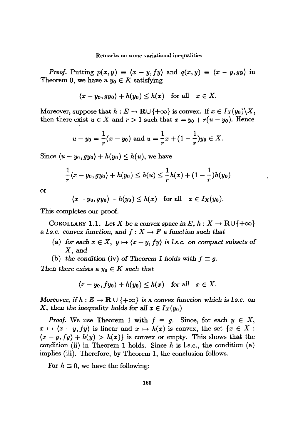*Proof.* Putting  $p(x,y) \equiv \langle x-y,fy \rangle$  and  $q(x,y) \equiv \langle x-y,gy \rangle$  in Theorem 0, we have a  $y_0 \in K$  satisfying

$$
\langle x-y_0, gy_0\rangle + h(y_0) \leq h(x) \text{ for all } x \in X.
$$

Moreover, suppose that  $h : E \to \mathbf{R} \cup \{+\infty\}$  is convex. If  $x \in I_X(y_0) \backslash X$ , then there exist  $u \in X$  and  $r > 1$  such that  $x = y_0 + r(u - y_0)$ . Hence

$$
u-y_0=\frac{1}{r}(x-y_0)
$$
 and  $u=\frac{1}{r}x+(1-\frac{1}{r})y_0 \in X$ .

Since  $\langle u - y_0, gy_0 \rangle + h(y_0) \leq h(u)$ , we have

$$
\frac{1}{r}(x - y_0, gy_0) + h(y_0) \le h(u) \le \frac{1}{r}h(x) + (1 - \frac{1}{r})h(y_0)
$$

or

$$
\langle x-y_0, gy_0\rangle + h(y_0) \leq h(x) \quad \text{for all} \quad x \in I_X(y_0).
$$

This completes our proof.

COROLLARY 1.1. Let *X* be a convex space in  $E, h: X \to \mathbf{R} \cup \{+\infty\}$ a *l.s.c.* convex function, and  $f: X \to F$  a function such that

- (a) for each  $x \in X$ ,  $y \mapsto \langle x y, fy \rangle$  is *l.s.c.* on compact subsets of *X,and*
- (b) the condition (iv) of Theorem 1 holds with  $f \equiv g$ .

*Then there exists* a  $y_0 \in K$  *such that* 

$$
\langle x-y_0, fy_0\rangle + h(y_0) \leq h(x) \quad \text{for all} \quad x \in X.
$$

*Moreover,* if  $h : E \to \mathbf{R} \cup \{+\infty\}$  is a convex function which is l.s.c. on *X*, then the inequality holds for all  $x \in I_X(y_0)$ 

*Proof.* We use Theorem 1 with  $f \equiv g$ . Since, for each  $y \in X$ ,  $x \mapsto \langle x-y, fy \rangle$  is linear and  $x \mapsto h(x)$  is convex, the set  $\{x \in X:$  $\langle x-y, fy \rangle + h(y) > h(x)$  is convex or empty. This shows that the condition (ii) in Theorem 1 holds. Since *h* is l.s.c., the condition (a) implies (iii). Therefore, by Theorem 1, the conclusion follows.

For  $h \equiv 0$ , we have the following: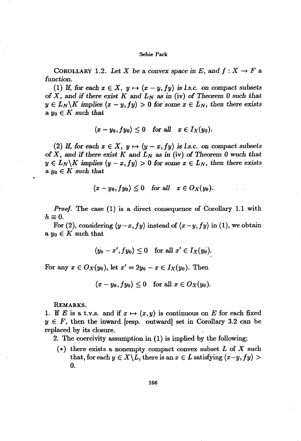COROLLARY 1.2. Let X be a convex space in E, and  $f: X \to F$  a *function.*

(1) If, for each  $x \in X$ ,  $y \mapsto \langle x-y, fy \rangle$  is *l.s.c.* on compact subsets of *X*, and if there exist *K* and  $L_N$  as in (iv) of Theorem 0 such that  $y \in L_N \backslash K$  *implies*  $\langle x - y, fy \rangle > 0$  *for some*  $x \in L_N$ *, then there exists*  $a y_0 \in K$  such that

$$
\langle x-y_0, fy_0\rangle \leq 0 \quad \text{for all} \quad x \in I_X(y_0).
$$

(2) If, for each  $x \in X$ ,  $y \mapsto (y-x, fy)$  is *l.s.c.* on compact subsets of  $X$ , and if there exist  $K$  and  $L_N$  as in (iv) of Theorem 0 wuch that  $y \in L_N \backslash K$  *implies*  $\langle y - x, fy \rangle > 0$  *for some*  $x \in L_N$ *, then there exists*  $a, y_0 \in K$  *such that* 

$$
\langle x-y_0, fy_0\rangle \leq 0 \quad \text{for all} \quad x \in O_X(y_0).
$$

*Proof.* The case (1) is a direct consequence of Corollary 1.1 with  $h\equiv 0.$ 

For (2), considering  $\langle y-x, fy \rangle$  instead of  $\langle x-y, fy \rangle$  in (1), we obtain a  $y_0 \in K$  such that

$$
\langle y_0-x', fy_0\rangle\leq 0\quad \text{for all}\,\, x'\in I_X(y_0).
$$

For any  $x \in O_X(y_0)$ , let  $x' = 2y_0 - x \in I_X(y_0)$ . Then

 $\langle x - y_0, fy_0 \rangle \leq 0$  for all  $x \in O_X(y_0)$ .

REMARKS.

1. If *E* is a t.v.s. and if  $x \mapsto \langle x, y \rangle$  is continuous on *E* for each fixed  $y \in F$ , then the inward [resp. outward] set in Corollary 3.2 can be replaced by its closure.

2. The coercivity assumption in (1) is implied by the following:

(\*) there exists a nonempty compact convex subset *L* of *X* such that, for each  $y \in X \backslash L$ , there is an  $x \in L$  satisfying  $\langle x-y, fy \rangle >$ o.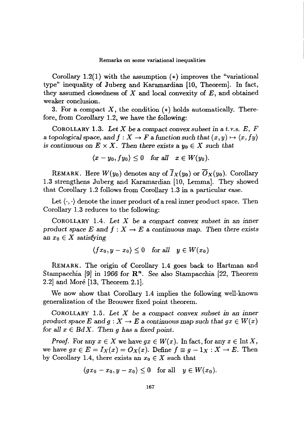Corollary 1.2(1) with the assumption  $(*)$  improves the "variational" type" inequality of Juberg and Karamardian [10, Theorem]. In fact, they assumed closedness of  $X$  and local convexity of  $E$ , and obtained weaker conclusion.

3. For a compact X, the condition  $(*)$  holds automatically. Therefore, from Corollary 1.2, we have the following:

COROLLARY 1.3. *Let* X be a compact convex *subset in* a t. *v.s. E, F* a topological space, and  $f: X \to F$  a function such that  $(x, y) \mapsto \langle x, fy \rangle$ *is continuous* on  $E \times X$ . *Then there exists* a  $y_0 \in X$  *such that* 

$$
\langle x-y_0, fy_0\rangle \leq 0 \quad \text{for all} \quad x \in W(y_0).
$$

REMARK. Here  $W(y_0)$  denotes any of  $\overline{I}_X(y_0)$  or  $\overline{O}_X(y_0)$ . Corollary 1.3 strengthens Juberg and Karamardian [10, Lemma]. They showed that Corollary 1.2 follows from Corollary 1.3 in a particular case.

Let  $\langle \cdot, \cdot \rangle$  denote the inner product of a real inner product space. Then Corollary 1.3 reduces to the following:

COROLLARY 1.4. *Let* X be a compact *convex subset* in an *inner product space*  $E$  and  $f: X \to E$  a continuous map. Then there exists an  $x_0 \in X$  *satisfying* 

$$
\langle fx_0, y - x_0 \rangle \le 0 \quad \text{for all} \quad y \in W(x_0)
$$

REMARK. The origin of Corollary 1.4 goes back to Hartman and Stampacchia [9] in 1966 for  $\mathbb{R}^n$ . See also Stampacchia [22, Theorem 2.2] and More [13, Theorem 2.1].

We now show that Corollary 1.4 implies the following well-known generalization of the Brouwer fixed point theorem.

COROLLARY 1.5. *Let* X be a compact *convex subset* in an *inner* product *space*  $E$  and  $g: X \to E$  a continuous map such that  $gx \in W(x)$ for all  $x \in BdX$ . Then *q* has a fixed point.

*Proof.* For any  $x \in X$  we have  $gx \in W(x)$ . In fact, for any  $x \in \text{Int } X$ , we have  $gx \in E = I_X(x) = O_X(x)$ . Define  $f \equiv g - 1_X : X \to E$ . Then by Corollary 1.4, there exists an  $x_0 \in X$  such that

$$
\langle gx_0-x_0,y-x_0\rangle\leq 0\quad\text{for all}\quad y\in W(x_0).
$$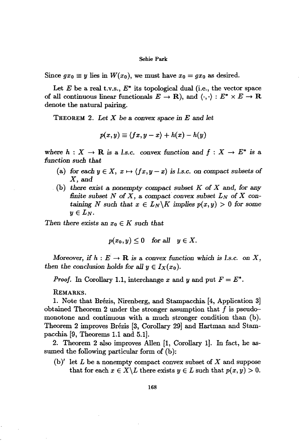Since  $gx_0 \equiv y$  lies in  $W(x_0)$ , we must have  $x_0 = gx_0$  as desired.

Let  $E$  be a real t.v.s.,  $E^*$  its topological dual (i.e., the vector space of all continuous linear functionals  $E \to \mathbf{R}$ ), and  $\langle \cdot, \cdot \rangle : E^* \times E \to \mathbf{R}$ denote the natural pairing.

THEOREM 2. *Let* X *be* a *convex* space in *E* and *let*

$$
p(x,y) \equiv \langle fx, y-x \rangle + h(x) - h(y)
$$

where  $h: X \to \mathbf{R}$  is a *l.s.c.* convex function and  $f: X \to E^*$  is a *function* such *that*

- (a) for each  $y \in X$ ,  $x \mapsto \langle fx, y x \rangle$  is *l.s.c.* on compact subsets of X,and
- (b) *there exist* a *nonempty.compact subset K* of X and, *for* any *finite* subset *N* of *X*, a compact convex subset  $L_N$  of *X* containing *N* such that  $x \in L_N \backslash K$  implies  $p(x, y) > 0$  for some  $y\in L_N$ .

*Then there exists* an  $x_0 \in K$  *such that* 

$$
p(x_0, y) \le 0 \quad \text{for all} \quad y \in X.
$$

Moreover, if  $h : E \to \mathbf{R}$  is a convex function which is *l.s.c.* on X, *then* the conclusion holds for all  $y \in I_X(x_0)$ .

*Proof.* In Corollary 1.1, interchange *x* and *y* and put  $F = E^*$ .

REMARKS.

1. Note that Brezis, Nirenberg, and Stampacchia [4, Application 3] obtained Theorem 2 under the stronger assumption that  $f$  is pseudomonotone and continuous with a much stronger condition than (b). Theorem 2 improves Brézis [3, Corollary 29] and Hartman and Stampacchia [9, Theorems 1.1 and 5.1].

2. Theorem 2 also improves Alien [1, Corollary 1]. In fact, he assumed the following particular form of (b):

 $(b)'$  let L be a nonempty compact convex subset of X and suppose that for each  $x \in X \backslash L$  there exists  $y \in L$  such that  $p(x, y) > 0$ .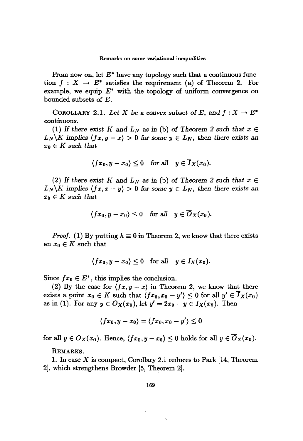From now on, let  $E^*$  have any topology such that a continuous function  $f: X \to E^*$  satisfies the requirement (a) of Theorem 2. For example, we equip  $E^*$  with the topology of uniform convergence on bounded subsets of E.

COROLLARY 2.1. Let X be a convex subset of E, and  $f: X \to E^*$ continuous.

(1) If there exist *K* and  $L_N$  as in (b) of Theorem 2 such that  $x \in$  $L_N \backslash K$  *implies*  $\langle fx, y - x \rangle > 0$  *for some*  $y \in L_N$ *, then there exists an*  $x_0 \in K$  *such* that

$$
\langle fx_0, y - x_0 \rangle \le 0 \quad \text{for all} \quad y \in \overline{I}_X(x_0).
$$

(2) If there exist *K* and  $L_N$  as in (b) of Theorem 2 such that  $x \in$  $L_N \backslash K$  *implies*  $\langle fx, x - y \rangle > 0$  *for some*  $y \in L_N$ *, then there exists an*  $x_0 \in K$  *such* that

$$
\langle fx_0, y - x_0 \rangle \le 0 \quad \text{for all} \quad y \in \overline{O}_X(x_0).
$$

*Proof.* (1) By putting  $h \equiv 0$  in Theorem 2, we know that there exists an  $x_0 \in K$  such that

$$
\langle fx_0, y - x_0 \rangle \le 0 \quad \text{for all} \quad y \in I_X(x_0).
$$

Since  $fx_0 \in E^*$ , this implies the conclusion.

(2) By the case for  $\langle fx, y - x \rangle$  in Theorem 2, we know that there exists a point  $x_0 \in K$  such that  $\langle fx_0, x_0 - y' \rangle \leq 0$  for all  $y' \in \overline{I}_X(x_0)$ as in (1). For any  $y \in O_X(x_0)$ , let  $y' = 2x_0 - y \in I_X(x_0)$ . Then

$$
\langle fx_0, y - x_0 \rangle = \langle fx_0, x_0 - y' \rangle \leq 0
$$

for all  $y \in O_X(x_0)$ . Hence,  $\langle fx_0, y - x_0 \rangle \leq 0$  holds for all  $y \in \overline{O}_X(x_0)$ .

REMARKS.

1. In case X is compact, Corollary 2.1 reduces to Park [14, Theorem 2], which strengthens Browder [5, Theorem 2].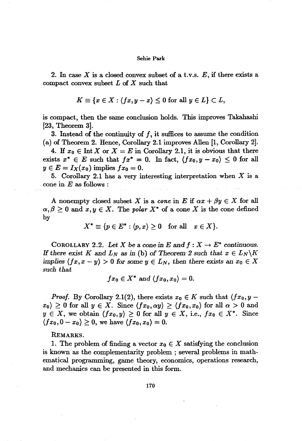2. In case  $X$  is a closed convex subset of a t.v.s.  $E$ , if there exists a compact convex subset *L* of *X* such that

$$
K \equiv \{x \in X : \langle fx, y - x \rangle \le 0 \text{ for all } y \in L\} \subset L,
$$

is compact, then the same conclusion holds. This improves Takahashi [23, Theorem 3].

3. Instead of the continuity of  $f$ , it suffices to assume the condition (a) of Theorem 2. Hence, Corollary 2.1 improves AlIen [1, Corollary 2].

4. If  $x_0 \in \text{Int } X$  or  $X = E$  in Corollary 2.1, it is obvious that there exists  $x^* \in E$  such that  $fx^* = 0$ . In fact,  $\langle fx_0, y - x_0 \rangle \leq 0$  for all  $y \in E = I_X(x_0)$  implies  $fx_0 = 0$ .

5. Corollary 2.1 has a very interesting interpretation when *X* is a cone in *E as* follows :

A nonempty closed subset X is a *cone* in E if  $ax + \beta y \in X$  for all  $\alpha, \beta \geq 0$  and  $x, y \in X$ . The *polar*  $X^*$  of a cone *X* is the cone defined by

$$
X^*\equiv \{p\in E^*:\langle p,x\rangle\geq 0\quad \text{for all}\quad x\in X\}.
$$

COROLLARY 2.2. Let *X* be a cone in *E* and  $f: X \to E^*$  continuous. *H* there exist *K* and  $L_N$  as in (b) of *Theorem* 2 such that  $x \in L_N \backslash K$ *implies*  $\langle fx, x - y \rangle > 0$  *for some*  $y \in L_N$ , *then there* exists an  $x_0 \in X$ *such that*

$$
fx_0\in X^* \text{ and } \langle fx_0, x_0\rangle = 0.
$$

*Proof.* By Corollary 2.1(2), there exists  $x_0 \in K$  such that  $\langle fx_0, y |x_0\rangle \ge 0$  for all  $y \in X$ . Since  $\langle fx_0, \alpha y \rangle \ge \langle fx_0, x_0 \rangle$  for all  $\alpha > 0$  and  $y \in X$ , we obtain  $\langle fx_0, y \rangle \geq 0$  for all  $y \in X$ , i.e.,  $fx_0 \in X^*$ . Since  $\langle fx_0, 0 - x_0 \rangle \geq 0$ , we have  $\langle fx_0, x_0 \rangle = 0$ .

#### REMARKS.

1. The problem of finding a vector  $x_0 \in X$  satisfying the conclusion is known as the complementarity problem ; several problems in mathematical programming, game theory, economics, operations research, and mechanics can be presented in this form.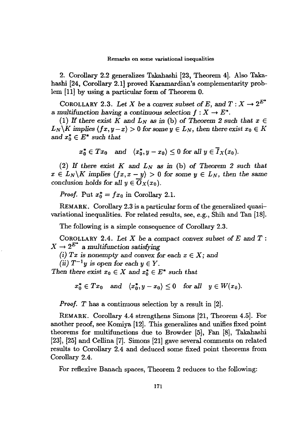2. Corollary 2.2 generalizes Takahashi [23, Theorem 4]. Also Takahashi [24, Corollary 2.1] proved Karamardian's complementarity problem [11] by using a particular form of Theorem O.

COROLLARY 2.3. Let *X* be a convex subset of *E*, and  $T: X \to 2^{E^*}$ a multifunction having a continuous selection  $f: X \to E^*$ .

(1) If there exist K and  $L_N$  as in (b) of Theorem 2 such that  $x \in$  $L_N\backslash K$  *implies*  $\langle fx, y-x \rangle > 0$  *for some*  $y \in L_N$ *, then there exist*  $x_0 \in K$ and  $x_0^* \in E^*$  such that

$$
x_0^* \in Tx_0
$$
 and  $\langle x_0^*, y - x_0 \rangle \leq 0$  for all  $y \in \overline{I}_X(x_0)$ .

(2) If there exist  $K$  and  $L_N$  as in (b) of Theorem 2 such that  $x \in L_N \backslash K$  *implies*  $(fx, x - y) > 0$  *for some*  $y \in L_N$ *, then the same* conclusion holds for all  $y \in \overline{O}_X(x_0)$ .

*Proof.* Put  $x_0^* = fx_0$  in Corollary 2.1.

REMARK. Corollary 2.3 is a particular form of the generalized quasivariational inequalities. For related results, see, e.g., Shih and Tan [18].

The following is a simple consequence of Corollary 2.3.

COROLLARY 2.4. *Let X* be a compact convex *subset* of *E* and *T ;*  $X \rightarrow 2^{E^*}$  a *multifunction satisfying* 

(i) Tx is nonempty and convex for each  $x \in X$ ; and

*(ii)*  $T^{-1}y$  *is open for each*  $y \in Y$ .

*Then there exist*  $x_0 \in X$  and  $x_0^* \in E^*$  *such that* 

$$
x_0^* \in Tx_0
$$
 and  $\langle x_0^*, y - x_0 \rangle \le 0$  for all  $y \in W(x_0)$ .

*Proof. T* has a continuous selection by a result in [2].

REMARK. Corollary 4.4 strengthens Simons [21, Theorem 4.5]. For another proof, see Komiya [12]. This generalizes and unifies fixed point theorems for multifunctions due to Browder [5], Fan [8), Takahashi [23], [25] and Cellina [7]. Simons [21] gave several comments on related results to Corollary 2.4 and deduced some fixed point theorems from Corollary 2.4.

For reflexive Banach spaces, Theorem 2 reduces to the following: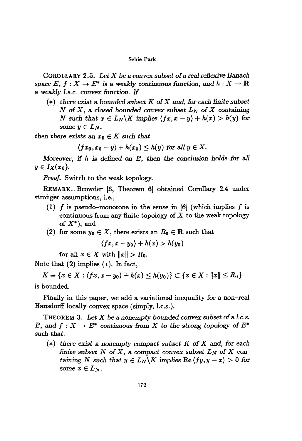COROLLARY 2.5. *Let X* be a convex *subset* ofa real*reBexive* Banach space  $E, f: X \to E^*$  is a weakly continuous function, and  $h: X \to \mathbf{R}$ <sup>a</sup> *weakly l.s.c. convex function.* If

(\*) *there exist* a bounded *subset K* of*X* and, *for each finite subset*  $N$  of  $X$ , a closed bounded convex subset  $L_N$  of  $X$  containing *N* such that  $x \in L_N \backslash K$  implies  $\langle fx, x - y \rangle + h(x) > h(y)$  for some  $y \in L_N$ ,

*then there exists* an  $x_0 \in K$  *such that* 

 $(fx_0, x_0 - y) + h(x_0) \leq h(y)$  for all  $y \in X$ .

*Moreover,* if *h is defined* on *E,* then *the conclusion holds for all*  $y\in I_X(x_0)$ .

*Proof.* Switch to the weak topology.

REMARK. Browder [6, Theorem 6] obtained Corollary 2.4 under stronger assumptions, i.e.,

- (1) f is pseudo-monotone in the sense in [6] (which implies f is continuous from any finite topology of *X* to the weak topology of  $X^*$ ), and
- (2) for some  $y_0 \in X$ , there exists an  $R_0 \in \mathbb{R}$  such that

$$
\langle fx, x - y_0 \rangle + h(x) > h(y_0)
$$

for all  $x \in X$  with  $||x|| > R_0$ .

Note that  $(2)$  implies  $(*)$ . In fact,

 $K \equiv \{x \in X : \langle fx, x - y_0 \rangle + h(x) \le h(y_0) \} \subset \{x \in X : ||x|| \le R_0\}$ is bounded.

Finally in this paper, we add a variational inequality for a non-real Hausdorff locally convex space (simply, l.c.s.).

THEOREM 3. *Let X* be a nonempty bounded convex *subset* ofa *1.c.s. E*, and  $f: X \to E^*$  continuous from *X* to the strong topology of  $E^*$ *such that.*

(\*) *there exist* a nonempty compact *subset K* of *X* and, for each *finite subset*  $N$  of  $X$ , a compact convex *subset*  $L_N$  of  $X$  containing *N* such that  $y \in L_N \backslash K$  implies  $\text{Re} \langle fy, y - x \rangle > 0$  for *some*  $x \in L_N$ .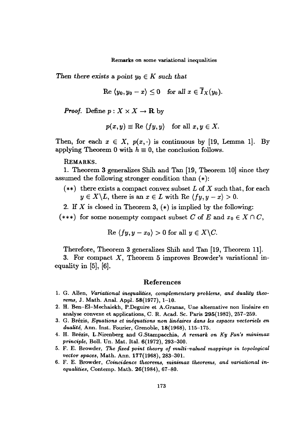Then there exists a point  $y_0 \in K$  such that

$$
\text{Re } \langle y_0, y_0 - x \rangle \leq 0 \quad \text{for all } x \in \overline{I}_X(y_0).
$$

*Proof.* Define  $p: X \times X \to \mathbf{R}$  by

$$
p(x, y) \equiv \text{Re } \langle fy, y \rangle \quad \text{for all } x, y \in X.
$$

Then, for each  $x \in X$ ,  $p(x, \cdot)$  is continuous by [19, Lemma 1]. By applying Theorem 0 with  $h \equiv 0$ , the conclusion follows.

REMARKS.

1. Theorem 3 generalizes Shih and Tan [19, Theorem 10] since they assumed the following stronger condition than (\*):

- (\*\*) there exists a compact convex subset *L* of *X* such that, for each  $y \in X \backslash L$ , there is an  $x \in L$  with Re  $(fy, y - x) > 0$ .
- 2. If  $X$  is closed in Theorem 3,  $(*)$  is implied by the following:

(\*\*\*) for some nonempty compact subset C of E and  $x_0 \in X \cap C$ ,

$$
Re \langle fy, y - x_0 \rangle > 0 \text{ for all } y \in X \backslash C.
$$

Therefore, Theorem 3 generalizes Shih and Tan [19, Theorem 11].

3. For compact  $X$ , Theorem 5 improves Browder's variational inequality in [5], [6].

# References

- 1. G. AlIen, *Variational inequalities, complementary problems, and duality theorems,* J. Math. Anal. Appl. 58(1977), 1-10.
- 2. H. Ben-EI-Mechaiekh, P.Deguire et A.Granas, *Vne* alternative non lineaire en analyse convexe et applications, C. R. Acad. Sc. Paris 295(1982), 257-259.
- 3. G. Brezis, *Equations et inequations non lineaires dans les espaces vectoriels en dualite,* Ann. Inst. Fourier, Grenoble, 18(1968), 115-175.
- 4. H. Brezis, L.Nirenberg and G.Stampacchia, *A remark on Ky Fan's minimax principle,* BoIl. *Vn.* Mat. Ital. 6(1972), 293-300.
- 5. F. E. Browder, *The fixed point theory of multi-valued mappings in topological vector spaces,* Math. Ann. 177(1968), 283-301.
- 6. F. E. Browder, *Coincidence theorems, minimax theorems, and variational inequalities,* Contemp. Math. 26(1984), 67-80.